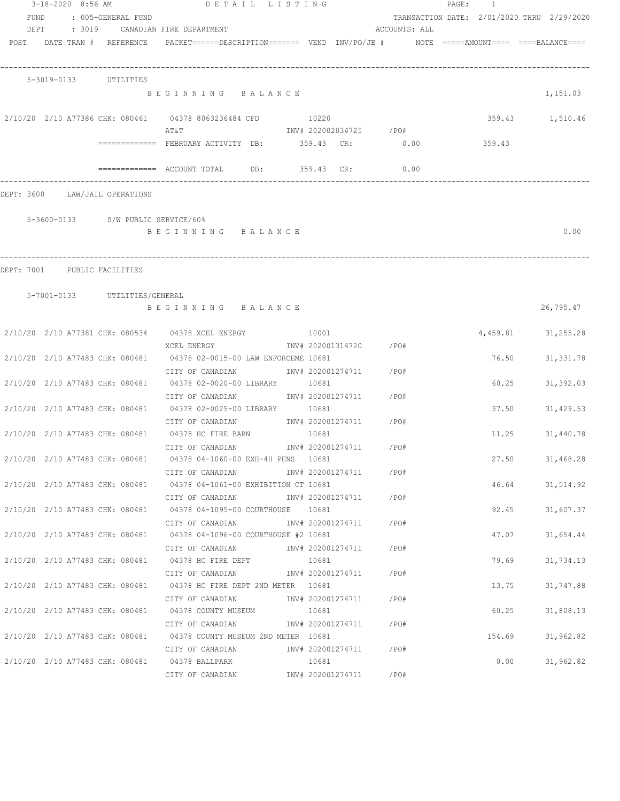|                              | 3-18-2020 8:56 AM     |                                 | DETAIL LISTING                                                                                    |       |                         |               | PAGE: 1 |        |                                            |
|------------------------------|-----------------------|---------------------------------|---------------------------------------------------------------------------------------------------|-------|-------------------------|---------------|---------|--------|--------------------------------------------|
| FUND                         |                       | : 005-GENERAL FUND              |                                                                                                   |       |                         |               |         |        | TRANSACTION DATE: 2/01/2020 THRU 2/29/2020 |
| DEPT                         |                       |                                 | : 3019 CANADIAN FIRE DEPARTMENT                                                                   |       |                         | ACCOUNTS: ALL |         |        |                                            |
|                              |                       | POST DATE TRAN # REFERENCE      | PACKET======DESCRIPTION========  VEND  INV/PO/JE #         NOTE  =====AMOUNT====  ====BALANCE==== |       |                         |               |         |        |                                            |
|                              | 5-3019-0133 UTILITIES |                                 |                                                                                                   |       |                         |               |         |        |                                            |
|                              |                       |                                 | BEGINNING BALANCE                                                                                 |       |                         |               |         |        | 1,151.03                                   |
|                              |                       |                                 | 2/10/20 2/10 A77386 CHK: 080461 04378 8063236484 CFD<br>AT&T                                      | 10220 | INV# 202002034725 / PO# |               |         |        | 359.43 1,510.46                            |
|                              |                       |                                 | ============ FEBRUARY ACTIVITY DB: 359.43 CR: 0.00                                                |       |                         |               |         | 359.43 |                                            |
|                              |                       |                                 | ============= ACCOUNT TOTAL DB: 359.43 CR:                                                        |       |                         | 0.00          |         |        |                                            |
|                              |                       | DEPT: 3600 LAW/JAIL OPERATIONS  |                                                                                                   |       |                         |               |         |        |                                            |
|                              |                       |                                 | 5-3600-0133 S/W PUBLIC SERVICE/60%                                                                |       |                         |               |         |        |                                            |
|                              |                       |                                 | BEGINNING BALANCE                                                                                 |       |                         |               |         |        | 0.00                                       |
| DEPT: 7001 PUBLIC FACILITIES |                       |                                 |                                                                                                   |       |                         |               |         |        |                                            |
|                              |                       | 5-7001-0133 UTILITIES/GENERAL   |                                                                                                   |       |                         |               |         |        |                                            |
|                              |                       |                                 | BEGINNING BALANCE                                                                                 |       |                         |               |         |        | 26,795.47                                  |
|                              |                       |                                 | 2/10/20 2/10 A77381 CHK: 080534 04378 XCEL ENERGY 10001                                           |       |                         |               |         |        | 4,459.81 31,255.28                         |
|                              |                       |                                 | XCEL ENERGY<br>2/10/20 2/10 A77483 CHK: 080481 04378 02-0015-00 LAW ENFORCEME 10681               |       | INV# 202001314720 /PO#  |               |         | 76.50  | 31, 331.78                                 |
|                              |                       |                                 | CITY OF CANADIAN<br>2/10/20 2/10 A77483 CHK: 080481 04378 02-0020-00 LIBRARY 10681                |       | INV# 202001274711 /PO#  |               |         | 60.25  | 31,392.03                                  |
|                              |                       |                                 | CITY OF CANADIAN<br>2/10/20 2/10 A77483 CHK: 080481 04378 02-0025-00 LIBRARY 10681                |       | INV# 202001274711 /PO#  |               |         | 37.50  | 31,429.53                                  |
|                              |                       |                                 | CITY OF CANADIAN<br>2/10/20 2/10 A77483 CHK: 080481 04378 HC FIRE BARN                            |       | INV# 202001274711 /PO#  |               |         | 11.25  |                                            |
|                              |                       |                                 | CITY OF CANADIAN                                                                                  | 10681 | INV# 202001274711       | /PO#          |         |        | 31,440.78                                  |
|                              |                       |                                 | 2/10/20 2/10 A77483 CHK: 080481 04378 04-1060-00 EXH-4H PENS 10681<br>CITY OF CANADIAN            |       | INV# 202001274711       | /PO#          |         | 27.50  | 31,468.28                                  |
|                              |                       |                                 | 2/10/20 2/10 A77483 CHK: 080481 04378 04-1061-00 EXHIBITION CT 10681<br>CITY OF CANADIAN          |       | INV# 202001274711 /PO#  |               |         | 46.64  | 31,514.92                                  |
|                              |                       |                                 | 2/10/20 2/10 A77483 CHK: 080481 04378 04-1095-00 COURTHOUSE 10681                                 |       |                         |               |         | 92.45  | 31,607.37                                  |
|                              |                       |                                 | CITY OF CANADIAN<br>2/10/20 2/10 A77483 CHK: 080481 04378 04-1096-00 COURTHOUSE #2 10681          |       | INV# 202001274711       | / PO#         |         | 47.07  | 31,654.44                                  |
|                              |                       |                                 | CITY OF CANADIAN<br>2/10/20 2/10 A77483 CHK: 080481 04378 HC FIRE DEPT                            | 10681 | INV# 202001274711       | / PO#         |         | 79.69  | 31,734.13                                  |
|                              |                       |                                 | CITY OF CANADIAN<br>2/10/20 2/10 A77483 CHK: 080481 04378 HC FIRE DEPT 2ND METER 10681            |       | INV# 202001274711       | / PO#         |         | 13.75  | 31,747.88                                  |
|                              |                       |                                 | CITY OF CANADIAN                                                                                  |       | INV# 202001274711       | / PO#         |         |        |                                            |
|                              |                       | 2/10/20 2/10 A77483 CHK: 080481 | 04378 COUNTY MUSEUM<br>CITY OF CANADIAN                                                           | 10681 | INV# 202001274711       | /PO#          |         | 60.25  | 31,808.13                                  |
|                              |                       |                                 | 2/10/20 2/10 A77483 CHK: 080481 04378 COUNTY MUSEUM 2ND METER 10681                               |       |                         |               |         | 154.69 | 31,962.82                                  |
|                              |                       |                                 | CITY OF CANADIAN<br>2/10/20 2/10 A77483 CHK: 080481 04378 BALLPARK                                | 10681 | INV# 202001274711 /PO#  |               |         | 0.00   | 31,962.82                                  |
|                              |                       |                                 | CITY OF CANADIAN                                                                                  |       | INV# 202001274711       | /PO#          |         |        |                                            |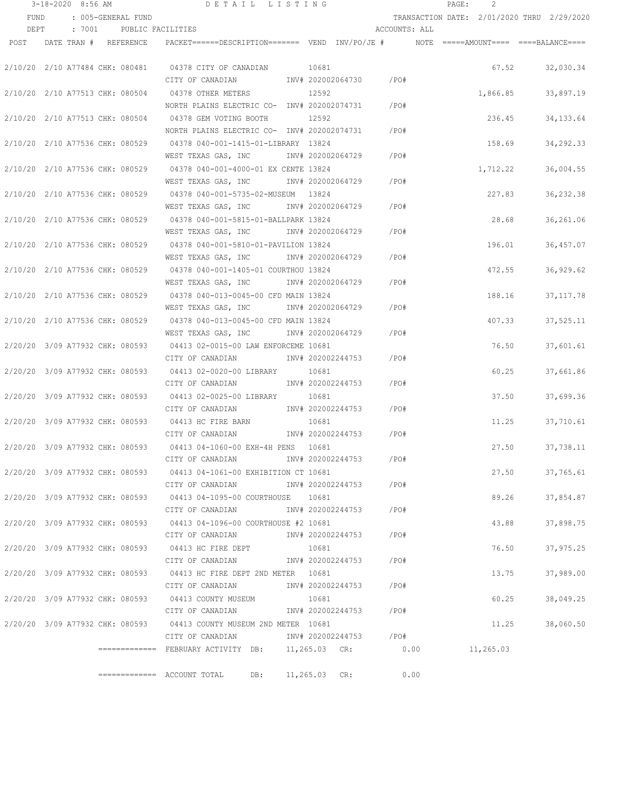|      | 3-18-2020 8:56 AM               |                    |                                                                                          | DETAIL LISTING |                        |               | PAGE: | 2        |                                            |
|------|---------------------------------|--------------------|------------------------------------------------------------------------------------------|----------------|------------------------|---------------|-------|----------|--------------------------------------------|
| FUND |                                 | : 005-GENERAL FUND |                                                                                          |                |                        |               |       |          | TRANSACTION DATE: 2/01/2020 THRU 2/29/2020 |
| DEPT | : 7001                          |                    | PUBLIC FACILITIES                                                                        |                |                        | ACCOUNTS: ALL |       |          |                                            |
|      | POST DATE TRAN # REFERENCE      |                    | PACKET======DESCRIPTION======= VEND INV/PO/JE #    NOTE =====AMOUNT==== ====BALANCE====  |                |                        |               |       |          |                                            |
|      |                                 |                    |                                                                                          |                |                        |               |       |          |                                            |
|      |                                 |                    | 2/10/20 2/10 A77484 CHK: 080481 04378 CITY OF CANADIAN                                   |                | 10681                  |               |       | 67.52    | 32,030.34                                  |
|      |                                 |                    | CITY OF CANADIAN                                                                         |                | INV# 202002064730 /PO# |               |       |          |                                            |
|      | 2/10/20 2/10 A77513 CHK: 080504 |                    | 04378 OTHER METERS                                                                       |                | 12592                  |               |       | 1,866.85 | 33,897.19                                  |
|      |                                 |                    | NORTH PLAINS ELECTRIC CO- INV# 202002074731                                              |                |                        | /PO#          |       |          |                                            |
|      | 2/10/20 2/10 A77513 CHK: 080504 |                    | 04378 GEM VOTING BOOTH                                                                   |                | 12592                  |               |       | 236.45   | 34, 133.64                                 |
|      |                                 |                    | NORTH PLAINS ELECTRIC CO- INV# 202002074731                                              |                |                        | /PO#          |       |          |                                            |
|      | 2/10/20 2/10 A77536 CHK: 080529 |                    | 04378 040-001-1415-01-LIBRARY 13824                                                      |                |                        |               |       | 158.69   | 34, 292.33                                 |
|      |                                 |                    | WEST TEXAS GAS, INC MONTH 202002064729                                                   |                |                        | /PO#          |       |          |                                            |
|      | 2/10/20 2/10 A77536 CHK: 080529 |                    | 04378 040-001-4000-01 EX CENTE 13824                                                     |                |                        |               |       | 1,712.22 | 36,004.55                                  |
|      |                                 |                    | WEST TEXAS GAS, INC MOTH 202002064729 / PO#                                              |                |                        |               |       |          |                                            |
|      |                                 |                    | 2/10/20 2/10 A77536 CHK: 080529 04378 040-001-5735-02-MUSEUM 13824                       |                |                        |               |       | 227.83   | 36, 232.38                                 |
|      |                                 |                    | WEST TEXAS GAS, INC \ INV# 202002064729 \ /PO#                                           |                |                        |               |       |          |                                            |
|      |                                 |                    | 2/10/20 2/10 A77536 CHK: 080529 04378 040-001-5815-01-BALLPARK 13824                     |                |                        |               |       | 28.68    | 36,261.06                                  |
|      |                                 |                    | WEST TEXAS GAS, INC NNV# 202002064729                                                    |                |                        | $/$ PO#       |       |          |                                            |
|      |                                 |                    | 2/10/20 2/10 A77536 CHK: 080529 04378 040-001-5810-01-PAVILION 13824                     |                |                        |               |       | 196.01   | 36,457.07                                  |
|      |                                 |                    | WEST TEXAS GAS, INC                                                                      |                | INV# 202002064729      | /PO#          |       |          |                                            |
|      | 2/10/20 2/10 A77536 CHK: 080529 |                    | 04378 040-001-1405-01 COURTHOU 13824                                                     |                |                        |               |       | 472.55   | 36,929.62                                  |
|      |                                 |                    | WEST TEXAS GAS, INC                                                                      |                | INV# 202002064729      | /PO#          |       |          |                                            |
|      |                                 |                    |                                                                                          |                |                        |               |       |          |                                            |
|      | 2/10/20 2/10 A77536 CHK: 080529 |                    | 04378 040-013-0045-00 CFD MAIN 13824                                                     |                | INV# 202002064729      | /PO#          |       | 188.16   | 37, 117.78                                 |
|      |                                 |                    | WEST TEXAS GAS, INC                                                                      |                |                        |               |       |          |                                            |
|      | 2/10/20 2/10 A77536 CHK: 080529 |                    | 04378 040-013-0045-00 CFD MAIN 13824                                                     |                |                        |               |       | 407.33   | 37,525.11                                  |
|      |                                 |                    | WEST TEXAS GAS, INC                                                                      |                | INV# 202002064729      | /PO#          |       |          |                                            |
|      | 2/20/20 3/09 A77932 CHK: 080593 |                    | 04413 02-0015-00 LAW ENFORCEME 10681                                                     |                |                        |               |       | 76.50    | 37,601.61                                  |
|      |                                 |                    | CITY OF CANADIAN                                                                         |                | INV# 202002244753      | /PO#          |       |          |                                            |
|      | 2/20/20 3/09 A77932 CHK: 080593 |                    | 04413 02-0020-00 LIBRARY                                                                 |                | 10681                  |               |       | 60.25    | 37,661.86                                  |
|      |                                 |                    | CITY OF CANADIAN                                                                         |                | INV# 202002244753      | /PO#          |       |          |                                            |
|      | 2/20/20 3/09 A77932 CHK: 080593 |                    | 04413 02-0025-00 LIBRARY                                                                 |                | 10681                  |               |       | 37.50    | 37,699.36                                  |
|      |                                 |                    | CITY OF CANADIAN                                                                         |                | INV# 202002244753      | /PO#          |       |          |                                            |
|      | 2/20/20 3/09 A77932 CHK: 080593 |                    | 04413 HC FIRE BARN                                                                       |                | 10681                  |               |       | 11.25    | 37,710.61                                  |
|      |                                 |                    | CITY OF CANADIAN                                                                         |                | INV# 202002244753      | /PO#          |       |          |                                            |
|      | 2/20/20 3/09 A77932 CHK: 080593 |                    | 04413 04-1060-00 EXH-4H PENS 10681                                                       |                |                        |               |       | 27.50    | 37,738.11                                  |
|      |                                 |                    | CITY OF CANADIAN                                                                         |                | INV# 202002244753      | /PO#          |       |          |                                            |
|      |                                 |                    | 2/20/20 3/09 A77932 CHK: 080593 04413 04-1061-00 EXHIBITION CT 10681                     |                |                        |               |       |          | 27.50<br>37,765.61                         |
|      |                                 |                    | CITY OF CANADIAN                                                                         |                | INV# 202002244753 /PO# |               |       |          |                                            |
|      |                                 |                    | 2/20/20 3/09 A77932 CHK: 080593 04413 04-1095-00 COURTHOUSE 10681                        |                |                        |               |       | 89.26    | 37,854.87                                  |
|      |                                 |                    | CITY OF CANADIAN                                                                         |                | INV# 202002244753 /PO# |               |       |          |                                            |
|      |                                 |                    | 2/20/20 3/09 A77932 CHK: 080593 04413 04-1096-00 COURTHOUSE #2 10681                     |                |                        |               |       | 43.88    | 37,898.75                                  |
|      |                                 |                    | CITY OF CANADIAN                                                                         |                | INV# 202002244753 /PO# |               |       |          |                                            |
|      |                                 |                    | 2/20/20 3/09 A77932 CHK: 080593 04413 HC FIRE DEPT                                       |                | 10681                  |               |       | 76.50    | 37,975.25                                  |
|      |                                 |                    | CITY OF CANADIAN                                                                         |                | INV# 202002244753 /PO# |               |       |          |                                            |
|      |                                 |                    | 2/20/20 3/09 A77932 CHK: 080593 04413 HC FIRE DEPT 2ND METER 10681                       |                |                        |               |       | 13.75    | 37,989.00                                  |
|      |                                 |                    | CITY OF CANADIAN                                                                         |                | INV# 202002244753 /PO# |               |       |          |                                            |
|      |                                 |                    | 2/20/20 3/09 A77932 CHK: 080593 04413 COUNTY MUSEUM                                      |                | 10681                  |               |       | 60.25    | 38,049.25                                  |
|      |                                 |                    | CITY OF CANADIAN 1NV# 202002244753 /PO#                                                  |                |                        |               |       |          |                                            |
|      |                                 |                    | 2/20/20 3/09 A77932 CHK: 080593 04413 COUNTY MUSEUM 2ND METER 10681                      |                |                        |               |       | 11.25    | 38,060.50                                  |
|      |                                 |                    | CITY OF CANADIAN                                                                         |                | INV# 202002244753 /PO# |               |       |          |                                            |
|      |                                 |                    | ============= FEBRUARY ACTIVITY DB:    11,265.03  CR:           0.00           11,265.03 |                |                        |               |       |          |                                            |
|      |                                 |                    |                                                                                          |                |                        |               |       |          |                                            |
|      |                                 |                    |                                                                                          | DB:            | 11,265.03 CR:          | 0.00          |       |          |                                            |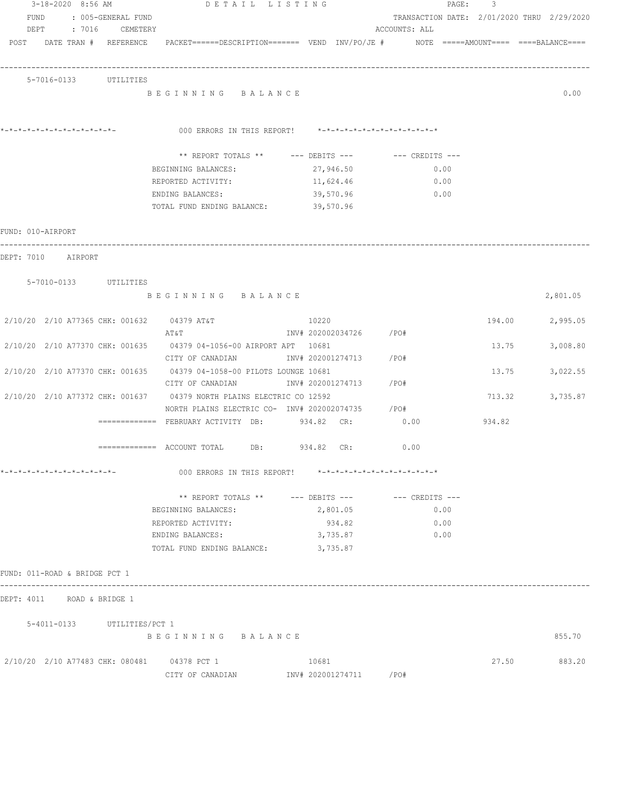| 3-18-2020 8:56 AM                           | DETAIL LISTING                                                                                                  |                                                         | PAGE:                                      | 3      |          |
|---------------------------------------------|-----------------------------------------------------------------------------------------------------------------|---------------------------------------------------------|--------------------------------------------|--------|----------|
| FUND<br>: 005-GENERAL FUND                  |                                                                                                                 |                                                         | TRANSACTION DATE: 2/01/2020 THRU 2/29/2020 |        |          |
| DEPT<br>: 7016 CEMETERY                     |                                                                                                                 |                                                         | ACCOUNTS: ALL                              |        |          |
|                                             | POST DATE TRAN # REFERENCE PACKET======DESCRIPTION======= VEND INV/PO/JE # NOTE =====AMOUNT==== ====BALANCE==== |                                                         |                                            |        |          |
|                                             |                                                                                                                 |                                                         |                                            |        |          |
| 5-7016-0133 UTILITIES                       |                                                                                                                 |                                                         |                                            |        |          |
|                                             | BEGINNING BALANCE                                                                                               |                                                         |                                            |        | 0.00     |
|                                             |                                                                                                                 |                                                         |                                            |        |          |
|                                             |                                                                                                                 |                                                         |                                            |        |          |
|                                             | 000 ERRORS IN THIS REPORT! *-*-*-*-*-*-*-*-*-*-*-*-*-*-                                                         |                                                         |                                            |        |          |
|                                             |                                                                                                                 | ** REPORT TOTALS ** --- DEBITS --- -- CREDITS ---       |                                            |        |          |
|                                             | BEGINNING BALANCES:                                                                                             | 27,946.50                                               | 0.00                                       |        |          |
|                                             | REPORTED ACTIVITY:                                                                                              | 11,624.46                                               | 0.00                                       |        |          |
|                                             | ENDING BALANCES:                                                                                                | 39,570.96                                               | 0.00                                       |        |          |
|                                             | TOTAL FUND ENDING BALANCE:                                                                                      | 39,570.96                                               |                                            |        |          |
| FUND: 010-AIRPORT                           |                                                                                                                 |                                                         |                                            |        |          |
|                                             |                                                                                                                 |                                                         |                                            |        |          |
| DEPT: 7010 AIRPORT                          |                                                                                                                 |                                                         |                                            |        |          |
|                                             |                                                                                                                 |                                                         |                                            |        |          |
| 5-7010-0133 UTILITIES                       |                                                                                                                 |                                                         |                                            |        |          |
|                                             | BEGINNING BALANCE                                                                                               |                                                         |                                            |        | 2,801.05 |
| 2/10/20 2/10 A77365 CHK: 001632 04379 AT&T  |                                                                                                                 | 10220                                                   |                                            | 194.00 | 2,995.05 |
|                                             | AT&T                                                                                                            | INV# 202002034726 /PO#                                  |                                            |        |          |
|                                             | 2/10/20 2/10 A77370 CHK: 001635 04379 04-1056-00 AIRPORT APT 10681                                              |                                                         |                                            | 13.75  | 3,008.80 |
|                                             | CITY OF CANADIAN                                                                                                | INV# 202001274713 /PO#                                  |                                            |        |          |
|                                             | 2/10/20 2/10 A77370 CHK: 001635 04379 04-1058-00 PILOTS LOUNGE 10681                                            |                                                         |                                            | 13.75  | 3,022.55 |
|                                             | CITY OF CANADIAN                                                                                                | INV# 202001274713                                       | /PO#                                       |        |          |
|                                             | 2/10/20 2/10 A77372 CHK: 001637 04379 NORTH PLAINS ELECTRIC CO 12592                                            |                                                         |                                            | 713.32 | 3,735.87 |
|                                             | NORTH PLAINS ELECTRIC CO- INV# 202002074735 / PO#                                                               |                                                         |                                            |        |          |
|                                             | ============ FEBRUARY ACTIVITY DB: 934.82 CR: 0.00                                                              |                                                         |                                            | 934.82 |          |
|                                             | ============= ACCOUNT TOTAL DB: 934.82 CR:                                                                      |                                                         | 0.00                                       |        |          |
|                                             |                                                                                                                 |                                                         |                                            |        |          |
|                                             |                                                                                                                 | 000 ERRORS IN THIS REPORT! *-*-*-*-*-*-*-*-*-*-*-*-*-*- |                                            |        |          |
|                                             |                                                                                                                 | ** REPORT TOTALS ** --- DEBITS --- -- -- CREDITS ---    |                                            |        |          |
|                                             | BEGINNING BALANCES:                                                                                             | 2,801.05                                                | 0.00                                       |        |          |
|                                             | REPORTED ACTIVITY:                                                                                              | 934.82                                                  | 0.00                                       |        |          |
|                                             | ENDING BALANCES:                                                                                                | 3,735.87                                                | 0.00                                       |        |          |
|                                             | TOTAL FUND ENDING BALANCE: 3,735.87                                                                             |                                                         |                                            |        |          |
|                                             |                                                                                                                 |                                                         |                                            |        |          |
| FUND: 011-ROAD & BRIDGE PCT 1               |                                                                                                                 |                                                         |                                            |        |          |
| DEPT: 4011 ROAD & BRIDGE 1                  |                                                                                                                 |                                                         |                                            |        |          |
| 5-4011-0133 UTILITIES/PCT 1                 |                                                                                                                 |                                                         |                                            |        |          |
|                                             | BEGINNING BALANCE                                                                                               |                                                         |                                            |        | 855.70   |
|                                             |                                                                                                                 |                                                         |                                            |        |          |
| 2/10/20 2/10 A77483 CHK: 080481 04378 PCT 1 |                                                                                                                 | 10681                                                   |                                            | 27.50  | 883.20   |
|                                             |                                                                                                                 |                                                         |                                            |        |          |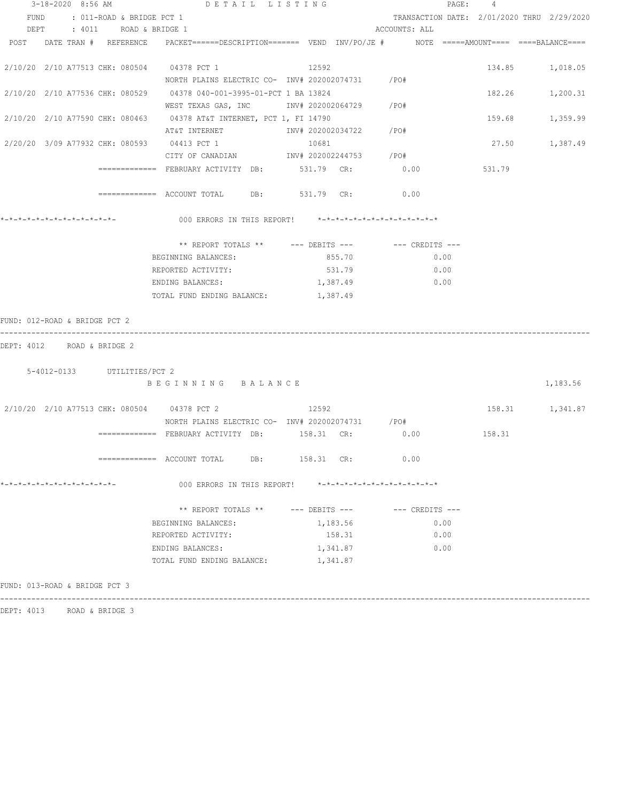|                               | 3-18-2020 8:56 AM |  | DETAIL LISTING                                                                                                      |     |            |                    |                                                         |                 | PAGE: | $\overline{4}$                             |                 |
|-------------------------------|-------------------|--|---------------------------------------------------------------------------------------------------------------------|-----|------------|--------------------|---------------------------------------------------------|-----------------|-------|--------------------------------------------|-----------------|
|                               |                   |  | FUND : 011-ROAD & BRIDGE PCT 1                                                                                      |     |            |                    |                                                         |                 |       | TRANSACTION DATE: 2/01/2020 THRU 2/29/2020 |                 |
|                               |                   |  | DEPT : 4011 ROAD & BRIDGE 1                                                                                         |     |            |                    | ACCOUNTS: ALL                                           |                 |       |                                            |                 |
|                               |                   |  | POST DATE TRAN # REFERENCE PACKET======DESCRIPTION======= VEND INV/PO/JE # NOTE =====AMOUNT==== ====BALANCE====     |     |            |                    |                                                         |                 |       |                                            |                 |
|                               |                   |  | 2/10/20 2/10 A77513 CHK: 080504 04378 PCT 1<br>NORTH PLAINS ELECTRIC CO- INV# 202002074731 / PO#                    |     | 12592      |                    |                                                         |                 |       |                                            | 134.85 1,018.05 |
|                               |                   |  | 2/10/20 2/10 A77536 CHK: 080529 04378 040-001-3995-01-PCT 1 BA 13824<br>WEST TEXAS GAS, INC MOTH 202002064729 / PO# |     |            |                    |                                                         |                 |       |                                            | 182.26 1,200.31 |
|                               |                   |  | 2/10/20 2/10 A77590 CHK: 080463 04378 AT&T INTERNET, PCT 1, FI 14790                                                |     |            |                    |                                                         |                 |       |                                            | 159.68 1,359.99 |
|                               |                   |  | 2/20/20 3/09 A77932 CHK: 080593 04413 PCT 1<br>CITY OF CANADIAN 1NV# 202002244753 /PO#                              |     |            | 10681              |                                                         |                 |       | 27.50 1,387.49                             |                 |
|                               |                   |  | ============ FEBRUARY ACTIVITY DB: 531.79 CR: 0.00                                                                  |     |            |                    |                                                         |                 |       | 531.79                                     |                 |
|                               |                   |  | ============ ACCOUNT TOTAL DB: 531.79 CR: 0.00                                                                      |     |            |                    |                                                         |                 |       |                                            |                 |
|                               |                   |  |                                                                                                                     |     |            |                    |                                                         |                 |       |                                            |                 |
|                               |                   |  |                                                                                                                     |     |            |                    |                                                         |                 |       |                                            |                 |
|                               |                   |  | BEGINNING BALANCES:                                                                                                 |     | 855.70     |                    |                                                         | 0.00            |       |                                            |                 |
|                               |                   |  | REPORTED ACTIVITY:                                                                                                  |     |            | 531.79             |                                                         | $\sim 0.00$     |       |                                            |                 |
|                               |                   |  | ENDING BALANCES: 1,387.49 0.00                                                                                      |     |            |                    |                                                         |                 |       |                                            |                 |
|                               |                   |  | TOTAL FUND ENDING BALANCE: 1,387.49                                                                                 |     |            |                    |                                                         |                 |       |                                            |                 |
| FUND: 012-ROAD & BRIDGE PCT 2 |                   |  |                                                                                                                     |     |            |                    |                                                         |                 |       |                                            |                 |
| DEPT: 4012 ROAD & BRIDGE 2    |                   |  |                                                                                                                     |     |            |                    |                                                         |                 |       |                                            |                 |
|                               |                   |  | 5-4012-0133 UTILITIES/PCT 2                                                                                         |     |            |                    |                                                         |                 |       |                                            |                 |
|                               |                   |  | BEGINNING BALANCE                                                                                                   |     |            |                    |                                                         |                 |       |                                            | 1,183.56        |
|                               |                   |  | 2/10/20 2/10 A77513 CHK: 080504 04378 PCT 2 12592                                                                   |     |            |                    |                                                         |                 |       | 158.31 1,341.87                            |                 |
|                               |                   |  | NORTH PLAINS ELECTRIC CO- INV# 202002074731 / PO#                                                                   |     |            |                    |                                                         |                 |       |                                            |                 |
|                               |                   |  |                                                                                                                     |     |            |                    |                                                         |                 |       |                                            |                 |
|                               |                   |  |                                                                                                                     | DB: | 158.31 CR: |                    |                                                         | 0.00            |       |                                            |                 |
| *-*-*-*-*-*-*-*-*-*-*-*-*-*-  |                   |  | 000 ERRORS IN THIS REPORT!                                                                                          |     |            |                    | $* - * - * - * - * - * - * - * - * - * - * - * - * - *$ |                 |       |                                            |                 |
|                               |                   |  | ** REPORT TOTALS **                                                                                                 |     |            | $---$ DEBITS $---$ |                                                         | --- CREDITS --- |       |                                            |                 |
|                               |                   |  | BEGINNING BALANCES:                                                                                                 |     |            | 1,183.56           |                                                         | 0.00            |       |                                            |                 |
|                               |                   |  | REPORTED ACTIVITY:                                                                                                  |     |            | 158.31             |                                                         | 0.00            |       |                                            |                 |
|                               |                   |  | ENDING BALANCES:                                                                                                    |     | 1,341.87   |                    |                                                         | 0.00            |       |                                            |                 |
|                               |                   |  | TOTAL FUND ENDING BALANCE:                                                                                          |     | 1,341.87   |                    |                                                         |                 |       |                                            |                 |
| FUND: 013-ROAD & BRIDGE PCT 3 |                   |  |                                                                                                                     |     |            |                    |                                                         |                 |       |                                            |                 |

------------------------------------------------------------------------------------------------------------------------------------

DEPT: 4013 ROAD & BRIDGE 3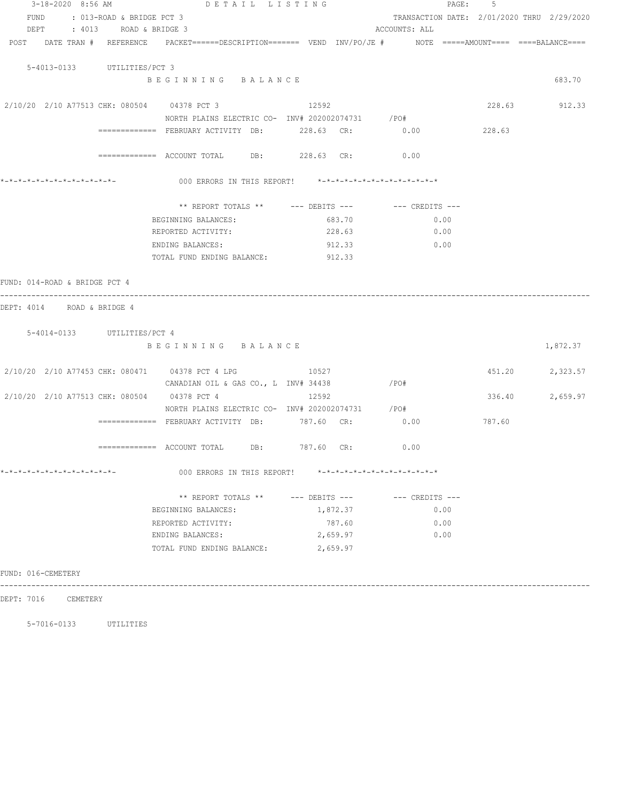| 3-18-2020 8:56 AM                                                                                               | DETAIL LISTING                                          |          | PAGE:<br>-5                                                 |        |               |  |  |  |  |
|-----------------------------------------------------------------------------------------------------------------|---------------------------------------------------------|----------|-------------------------------------------------------------|--------|---------------|--|--|--|--|
| FUND<br>: 013-ROAD & BRIDGE PCT 3<br>DEPT : 4013 ROAD & BRIDGE 3                                                |                                                         |          | TRANSACTION DATE: 2/01/2020 THRU 2/29/2020<br>ACCOUNTS: ALL |        |               |  |  |  |  |
| POST DATE TRAN # REFERENCE PACKET======DESCRIPTION======= VEND INV/PO/JE # NOTE =====AMOUNT==== ====BALANCE==== |                                                         |          |                                                             |        |               |  |  |  |  |
| 5-4013-0133 UTILITIES/PCT 3                                                                                     |                                                         |          |                                                             |        |               |  |  |  |  |
|                                                                                                                 | BEGINNING BALANCE                                       |          |                                                             |        | 683.70        |  |  |  |  |
| 2/10/20 2/10 A77513 CHK: 080504 04378 PCT 3                                                                     |                                                         | 12592    |                                                             |        | 228.63 912.33 |  |  |  |  |
|                                                                                                                 | NORTH PLAINS ELECTRIC CO- INV# 202002074731 / PO#       |          |                                                             |        |               |  |  |  |  |
|                                                                                                                 | ============= FEBRUARY ACTIVITY DB: 228.63 CR:          |          | 0.00                                                        | 228.63 |               |  |  |  |  |
|                                                                                                                 | ============ ACCOUNT TOTAL DB: 228.63 CR: 0.00          |          |                                                             |        |               |  |  |  |  |
|                                                                                                                 | 000 ERRORS IN THIS REPORT! *-*-*-*-*-*-*-*-*-*-*-*-*-*- |          |                                                             |        |               |  |  |  |  |
|                                                                                                                 | ** REPORT TOTALS ** --- DEBITS --- -- -- CREDITS ---    |          |                                                             |        |               |  |  |  |  |
|                                                                                                                 | BEGINNING BALANCES:                                     | 683.70   | 0.00                                                        |        |               |  |  |  |  |
|                                                                                                                 | REPORTED ACTIVITY:                                      | 228.63   | 0.00                                                        |        |               |  |  |  |  |
|                                                                                                                 | ENDING BALANCES:                                        | 912.33   | 0.00                                                        |        |               |  |  |  |  |
|                                                                                                                 | TOTAL FUND ENDING BALANCE:                              | 912.33   |                                                             |        |               |  |  |  |  |
| FUND: 014-ROAD & BRIDGE PCT 4                                                                                   |                                                         |          |                                                             |        |               |  |  |  |  |
| --------------<br>DEPT: 4014 ROAD & BRIDGE 4                                                                    |                                                         |          |                                                             |        |               |  |  |  |  |
| 5-4014-0133 UTILITIES/PCT 4                                                                                     |                                                         |          |                                                             |        |               |  |  |  |  |
|                                                                                                                 | BEGINNING BALANCE                                       |          |                                                             |        | 1,872.37      |  |  |  |  |
| 2/10/20 2/10 A77453 CHK: 080471 04378 PCT 4 LPG                                                                 |                                                         | 10527    |                                                             | 451.20 | 2,323.57      |  |  |  |  |
|                                                                                                                 | CANADIAN OIL & GAS CO., L INV# 34438                    |          | /PO#                                                        |        |               |  |  |  |  |
| 2/10/20 2/10 A77513 CHK: 080504 04378 PCT 4                                                                     |                                                         | 12592    |                                                             | 336.40 | 2,659.97      |  |  |  |  |
|                                                                                                                 | NORTH PLAINS ELECTRIC CO- INV# 202002074731 / PO#       |          |                                                             |        |               |  |  |  |  |
|                                                                                                                 | ============= FEBRUARY ACTIVITY DB: 787.60 CR:          |          | 0.00                                                        | 787.60 |               |  |  |  |  |
|                                                                                                                 | ============= ACCOUNT TOTAL DB: 787.60 CR:              |          | 0.00                                                        |        |               |  |  |  |  |
| *-*-*-*-*-*-*-*-*-*-*-*-*-*-                                                                                    | 000 ERRORS IN THIS REPORT! *-*-*-*-*-*-*-*-*-*-*-*-*-*- |          |                                                             |        |               |  |  |  |  |
|                                                                                                                 | ** REPORT TOTALS ** --- DEBITS --- -- -- CREDITS ---    |          |                                                             |        |               |  |  |  |  |
|                                                                                                                 | BEGINNING BALANCES:                                     | 1,872.37 | 0.00                                                        |        |               |  |  |  |  |
|                                                                                                                 | REPORTED ACTIVITY:                                      | 787.60   | 0.00                                                        |        |               |  |  |  |  |
|                                                                                                                 | ENDING BALANCES:                                        | 2,659.97 | 0.00                                                        |        |               |  |  |  |  |
|                                                                                                                 | TOTAL FUND ENDING BALANCE:                              | 2,659.97 |                                                             |        |               |  |  |  |  |
| FUND: 016-CEMETERY                                                                                              |                                                         |          |                                                             |        |               |  |  |  |  |
|                                                                                                                 |                                                         |          |                                                             |        |               |  |  |  |  |

DEPT: 7016 CEMETERY

5-7016-0133 UTILITIES